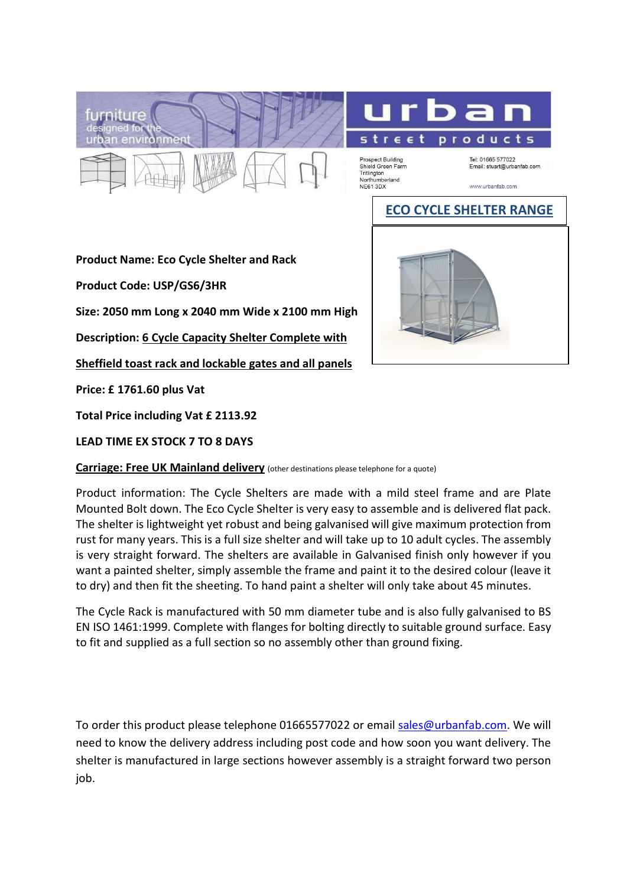



Prospect Building Shield Green Farm Tritlington<br>Northumberland<br>NE61 3DX

Tel: 01665 577022<br>Email: stuart@urbanfab.com

www.urbanfab.com

## ECO CYCLE SHELTER RANGE

Product Name: Eco Cycle Shelter and Rack

Product Code: USP/GS6/3HR

Size: 2050 mm Long x 2040 mm Wide x 2100 mm High

Description: 6 Cycle Capacity Shelter Complete with

Sheffield toast rack and lockable gates and all panels

Price: £ 1761.60 plus Vat

Total Price including Vat £ 2113.92

LEAD TIME EX STOCK 7 TO 8 DAYS

Carriage: Free UK Mainland delivery (other destinations please telephone for a quote)

Product information: The Cycle Shelters are made with a mild steel frame and are Plate Mounted Bolt down. The Eco Cycle Shelter is very easy to assemble and is delivered flat pack. The shelter is lightweight yet robust and being galvanised will give maximum protection from rust for many years. This is a full size shelter and will take up to 10 adult cycles. The assembly is very straight forward. The shelters are available in Galvanised finish only however if you want a painted shelter, simply assemble the frame and paint it to the desired colour (leave it to dry) and then fit the sheeting. To hand paint a shelter will only take about 45 minutes.

The Cycle Rack is manufactured with 50 mm diameter tube and is also fully galvanised to BS EN ISO 1461:1999. Complete with flanges for bolting directly to suitable ground surface. Easy to fit and supplied as a full section so no assembly other than ground fixing.

To order this product please telephone 01665577022 or email sales@urbanfab.com. We will need to know the delivery address including post code and how soon you want delivery. The shelter is manufactured in large sections however assembly is a straight forward two person iob.